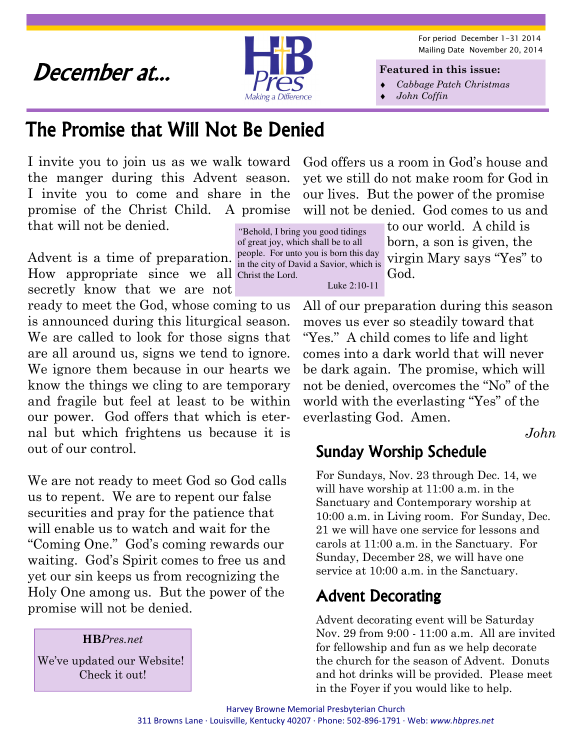For period December 1-31 2014 Mailing Date November 20, 2014

# December at...



**Featured in this issue:** 

- ♦ *Cabbage Patch Christmas*
- $John$  *Coffin*

God offers us a room in God's house and yet we still do not make room for God in our lives. But the power of the promise will not be denied. God comes to us and

## The Promise that Will Not Be Denied

I invite you to join us as we walk toward the manger during this Advent season. I invite you to come and share in the promise of the Christ Child. A promise that will not be denied.

Advent is a time of preparation.  $_{\text{in the city of David a Savier, which is}}$ How appropriate since we all Christ the Lord. secretly know that we are not

ready to meet the God, whose coming to us is announced during this liturgical season. We are called to look for those signs that are all around us, signs we tend to ignore. We ignore them because in our hearts we know the things we cling to are temporary and fragile but feel at least to be within our power. God offers that which is eternal but which frightens us because it is out of our control.

We are not ready to meet God so God calls us to repent. We are to repent our false securities and pray for the patience that will enable us to watch and wait for the "Coming One." God's coming rewards our waiting. God's Spirit comes to free us and yet our sin keeps us from recognizing the Holy One among us. But the power of the promise will not be denied.

#### **HB***Pres.net*

We've updated our Website! Check it out!

*"*Behold, I bring you good tidings of great joy, which shall be to all in the city of David a Savior, which is

to our world. A child is born, a son is given, the virgin Mary says "Yes" to God.

Luke 2:10-11

All of our preparation during this season moves us ever so steadily toward that "Yes." A child comes to life and light comes into a dark world that will never be dark again. The promise, which will not be denied, overcomes the "No" of the world with the everlasting "Yes" of the everlasting God. Amen.

*John* 

### Sunday Worship Schedule

For Sundays, Nov. 23 through Dec. 14, we will have worship at 11:00 a.m. in the Sanctuary and Contemporary worship at 10:00 a.m. in Living room. For Sunday, Dec. 21 we will have one service for lessons and carols at 11:00 a.m. in the Sanctuary. For Sunday, December 28, we will have one service at 10:00 a.m. in the Sanctuary.

### Advent Decorating Advent Decorating

Advent decorating event will be Saturday Nov. 29 from 9:00 - 11:00 a.m. All are invited for fellowship and fun as we help decorate the church for the season of Advent. Donuts and hot drinks will be provided. Please meet in the Foyer if you would like to help.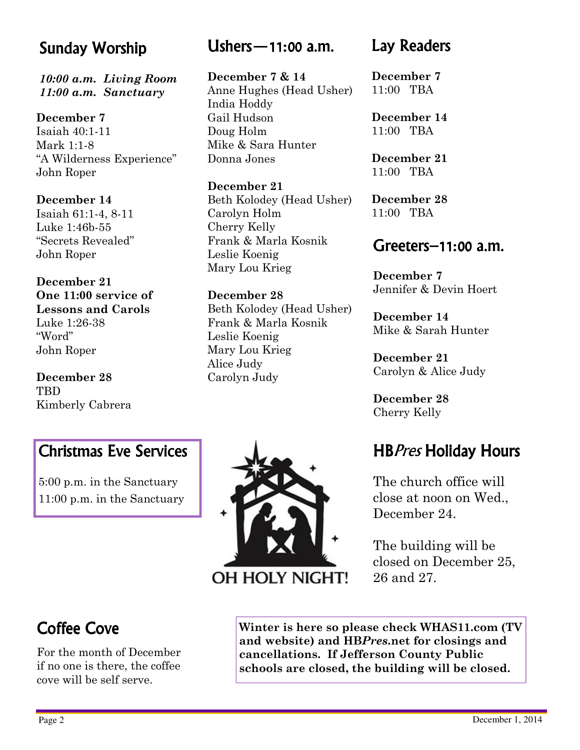### Sunday Worship

*10:00 a.m. Living Room 11:00 a.m. Sanctuary*

**December 7**  Isaiah 40:1-11 Mark 1:1-8 "A Wilderness Experience" John Roper

**December 14**  Isaiah 61:1-4, 8-11 Luke 1:46b-55 "Secrets Revealed" John Roper

**December 21 One 11:00 service of Lessons and Carols**  Luke 1:26-38 "Word" John Roper

**December 28 TBD** Kimberly Cabrera

### **Christmas Eve Services**

5:00 p.m. in the Sanctuary 11:00 p.m. in the Sanctuary

### Ushers  $-11:00$  a.m.

**December 7 & 14**  Anne Hughes (Head Usher) India Hoddy Gail Hudson Doug Holm Mike & Sara Hunter Donna Jones

**December 21**  Beth Kolodey (Head Usher) Carolyn Holm Cherry Kelly Frank & Marla Kosnik Leslie Koenig Mary Lou Krieg

**December 28**  Beth Kolodey (Head Usher) Frank & Marla Kosnik Leslie Koenig Mary Lou Krieg Alice Judy Carolyn Judy

### Lay Readers

**December 7**  11:00 TBA

**December 14**  11:00 TBA

**December 21**  11:00 TBA

**December 28**  11:00 TBA

### $G$ reeters–11:00 a.m.

**December 7**  Jennifer & Devin Hoert

**December 14**  Mike & Sarah Hunter

**December 21**  Carolyn & Alice Judy

**December 28**  Cherry Kelly

### HBPres Holiday Hours

The church office will close at noon on Wed., December 24.

The building will be closed on December 25, 26 and 27.

## Coffee Cove

For the month of December if no one is there, the coffee cove will be self serve.

**Winter is here so please check WHAS11.com (TV and website) and HB***Pres***.net for closings and cancellations. If Jefferson County Public schools are closed, the building will be closed.** 

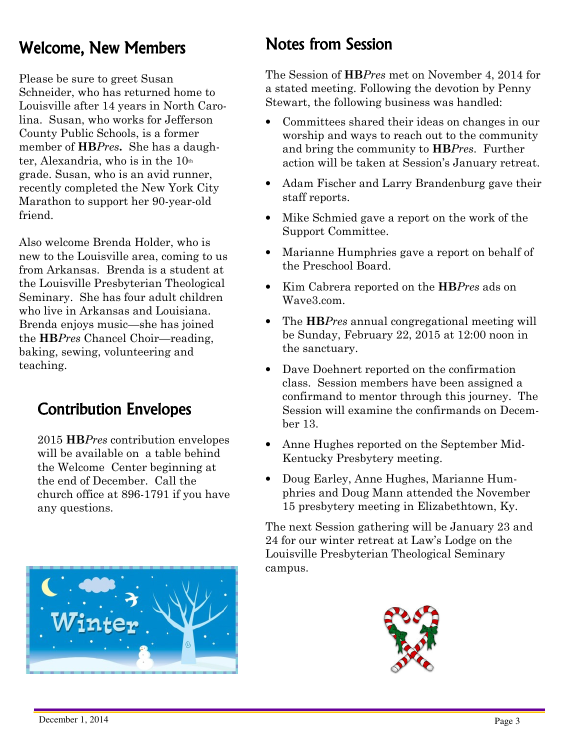### **Welcome, New Members**

Please be sure to greet Susan Schneider, who has returned home to Louisville after 14 years in North Carolina. Susan, who works for Jefferson County Public Schools, is a former member of **HB***Pres***.** She has a daughter, Alexandria, who is in the  $10<sup>th</sup>$ grade. Susan, who is an avid runner, recently completed the New York City Marathon to support her 90-year-old friend.

Also welcome Brenda Holder, who is new to the Louisville area, coming to us from Arkansas. Brenda is a student at the Louisville Presbyterian Theological Seminary. She has four adult children who live in Arkansas and Louisiana. Brenda enjoys music—she has joined the **HB***Pres* Chancel Choir—reading, baking, sewing, volunteering and teaching.

### **Contribution Envelopes**

2015 **HB***Pres* contribution envelopes will be available on a table behind the Welcome Center beginning at the end of December. Call the church office at 896-1791 if you have any questions.



### Notes from Session

The Session of **HB***Pres* met on November 4, 2014 for a stated meeting. Following the devotion by Penny Stewart, the following business was handled:

- Committees shared their ideas on changes in our worship and ways to reach out to the community and bring the community to **HB***Pres*. Further action will be taken at Session's January retreat.
- Adam Fischer and Larry Brandenburg gave their staff reports.
- Mike Schmied gave a report on the work of the Support Committee.
- Marianne Humphries gave a report on behalf of the Preschool Board.
- Kim Cabrera reported on the **HB***Pres* ads on Wave3.com.
- The **HB***Pres* annual congregational meeting will be Sunday, February 22, 2015 at 12:00 noon in the sanctuary.
- Dave Doehnert reported on the confirmation class. Session members have been assigned a confirmand to mentor through this journey. The Session will examine the confirmands on December 13.
- Anne Hughes reported on the September Mid-Kentucky Presbytery meeting.
- Doug Earley, Anne Hughes, Marianne Humphries and Doug Mann attended the November 15 presbytery meeting in Elizabethtown, Ky.

The next Session gathering will be January 23 and 24 for our winter retreat at Law's Lodge on the Louisville Presbyterian Theological Seminary campus.

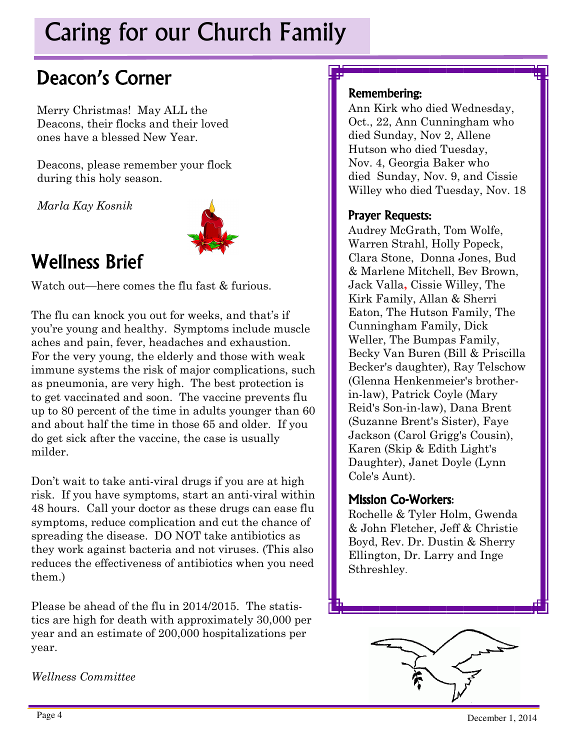# Caring for our Church Family

## Deacon's Corner

Merry Christmas! May ALL the Deacons, their flocks and their loved ones have a blessed New Year.

Deacons, please remember your flock during this holy season.

*Marla Kay Kosnik* 



# **Wellness Brief**

Watch out—here comes the flu fast & furious.

The flu can knock you out for weeks, and that's if you're young and healthy. Symptoms include muscle aches and pain, fever, headaches and exhaustion. For the very young, the elderly and those with weak immune systems the risk of major complications, such as pneumonia, are very high. The best protection is to get vaccinated and soon. The vaccine prevents flu up to 80 percent of the time in adults younger than 60 and about half the time in those 65 and older. If you do get sick after the vaccine, the case is usually milder.

Don't wait to take anti-viral drugs if you are at high risk. If you have symptoms, start an anti-viral within 48 hours. Call your doctor as these drugs can ease flu symptoms, reduce complication and cut the chance of spreading the disease. DO NOT take antibiotics as they work against bacteria and not viruses. (This also reduces the effectiveness of antibiotics when you need them.)

Please be ahead of the flu in 2014/2015. The statistics are high for death with approximately 30,000 per year and an estimate of 200,000 hospitalizations per year.

*Wellness Committee* 

#### Remembering:

Ann Kirk who died Wednesday, Oct., 22, Ann Cunningham who died Sunday, Nov 2, Allene Hutson who died Tuesday, Nov. 4, Georgia Baker who died Sunday, Nov. 9, and Cissie Willey who died Tuesday, Nov. 18

#### Prayer Requests:

Audrey McGrath, Tom Wolfe, Warren Strahl, Holly Popeck, Clara Stone, Donna Jones, Bud & Marlene Mitchell, Bev Brown, Jack Valla**,** Cissie Willey, The Kirk Family, Allan & Sherri Eaton, The Hutson Family, The Cunningham Family, Dick Weller, The Bumpas Family, Becky Van Buren (Bill & Priscilla Becker's daughter), Ray Telschow (Glenna Henkenmeier's brotherin-law), Patrick Coyle (Mary Reid's Son-in-law), Dana Brent (Suzanne Brent's Sister), Faye Jackson (Carol Grigg's Cousin), Karen (Skip & Edith Light's Daughter), Janet Doyle (Lynn Cole's Aunt).

#### **Mission Co-Workers:**

Rochelle & Tyler Holm, Gwenda & John Fletcher, Jeff & Christie Boyd, Rev. Dr. Dustin & Sherry Ellington, Dr. Larry and Inge Sthreshley.

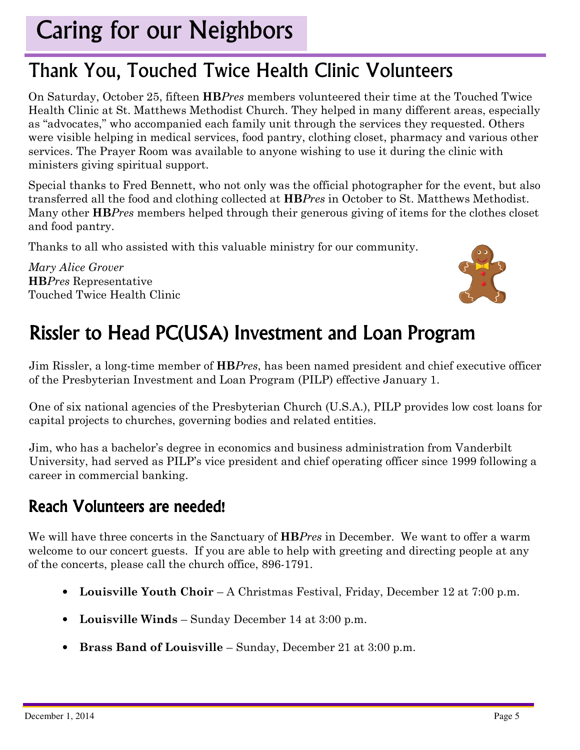# Caring for our Neighbors

## Thank You, Touched Twice Health Clinic Volunteers

On Saturday, October 25, fifteen **HB***Pres* members volunteered their time at the Touched Twice Health Clinic at St. Matthews Methodist Church. They helped in many different areas, especially as "advocates," who accompanied each family unit through the services they requested. Others were visible helping in medical services, food pantry, clothing closet, pharmacy and various other services. The Prayer Room was available to anyone wishing to use it during the clinic with ministers giving spiritual support.

Special thanks to Fred Bennett, who not only was the official photographer for the event, but also transferred all the food and clothing collected at **HB***Pres* in October to St. Matthews Methodist. Many other **HB***Pres* members helped through their generous giving of items for the clothes closet and food pantry.

Thanks to all who assisted with this valuable ministry for our community.

*Mary Alice Grover*  **HB***Pres* Representative Touched Twice Health Clinic



# Rissler to Head PC(USA) Investment and Loan Program

Jim Rissler, a long-time member of **HB***Pres*, has been named president and chief executive officer of the Presbyterian Investment and Loan Program (PILP) effective January 1.

One of six national agencies of the Presbyterian Church (U.S.A.), PILP provides low cost loans for capital projects to churches, governing bodies and related entities.

Jim, who has a bachelor's degree in economics and business administration from Vanderbilt University, had served as PILP's vice president and chief operating officer since 1999 following a career in commercial banking.

### Reach Volunteers are needed!

We will have three concerts in the Sanctuary of **HB***Pres* in December. We want to offer a warm welcome to our concert guests. If you are able to help with greeting and directing people at any of the concerts, please call the church office, 896-1791.

- **Louisville Youth Choir**  A Christmas Festival, Friday, December 12 at 7:00 p.m.
- **Louisville Winds**  Sunday December 14 at 3:00 p.m.
- **Brass Band of Louisville**  Sunday, December 21 at 3:00 p.m.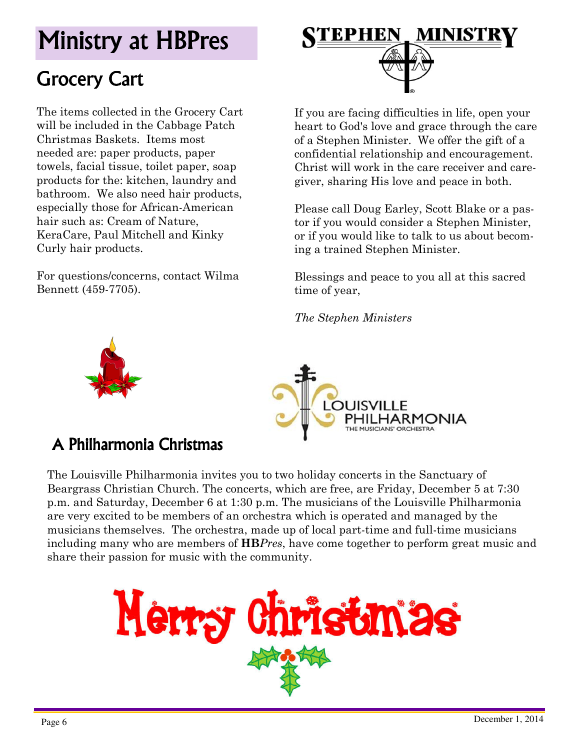# Ministry at HBPres

## **Grocery Cart**

The items collected in the Grocery Cart will be included in the Cabbage Patch Christmas Baskets. Items most needed are: paper products, paper towels, facial tissue, toilet paper, soap products for the: kitchen, laundry and bathroom. We also need hair products, especially those for African-American hair such as: Cream of Nature, KeraCare, Paul Mitchell and Kinky Curly hair products.

For questions/concerns, contact Wilma Bennett (459-7705).



If you are facing difficulties in life, open your heart to God's love and grace through the care of a Stephen Minister. We offer the gift of a confidential relationship and encouragement. Christ will work in the care receiver and caregiver, sharing His love and peace in both.

Please call Doug Earley, Scott Blake or a pastor if you would consider a Stephen Minister, or if you would like to talk to us about becoming a trained Stephen Minister.

Blessings and peace to you all at this sacred time of year,

*The Stephen Ministers* 





### A Philharmonia Christmas

The Louisville Philharmonia invites you to two holiday concerts in the Sanctuary of Beargrass Christian Church. The concerts, which are free, are Friday, December 5 at 7:30 p.m. and Saturday, December 6 at 1:30 p.m. The musicians of the Louisville Philharmonia are very excited to be members of an orchestra which is operated and managed by the musicians themselves. The orchestra, made up of local part-time and full-time musicians including many who are members of **HB***Pres*, have come together to perform great music and share their passion for music with the community.

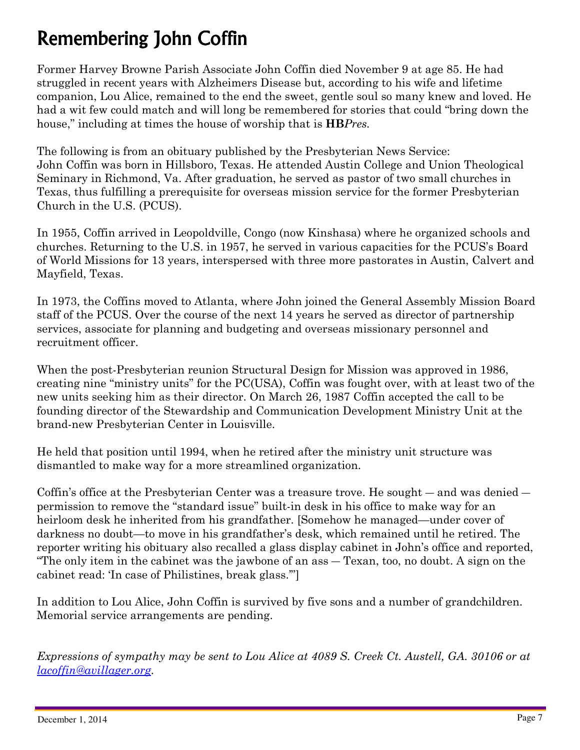## Remembering John Coffin

Former Harvey Browne Parish Associate John Coffin died November 9 at age 85. He had struggled in recent years with Alzheimers Disease but, according to his wife and lifetime companion, Lou Alice, remained to the end the sweet, gentle soul so many knew and loved. He had a wit few could match and will long be remembered for stories that could "bring down the house," including at times the house of worship that is **HB***Pres.* 

The following is from an obituary published by the Presbyterian News Service: John Coffin was born in Hillsboro, Texas. He attended Austin College and Union Theological Seminary in Richmond, Va. After graduation, he served as pastor of two small churches in Texas, thus fulfilling a prerequisite for overseas mission service for the former Presbyterian Church in the U.S. (PCUS).

In 1955, Coffin arrived in Leopoldville, Congo (now Kinshasa) where he organized schools and churches. Returning to the U.S. in 1957, he served in various capacities for the PCUS's Board of World Missions for 13 years, interspersed with three more pastorates in Austin, Calvert and Mayfield, Texas.

In 1973, the Coffins moved to Atlanta, where John joined the General Assembly Mission Board staff of the PCUS. Over the course of the next 14 years he served as director of partnership services, associate for planning and budgeting and overseas missionary personnel and recruitment officer.

When the post-Presbyterian reunion Structural Design for Mission was approved in 1986, creating nine "ministry units" for the PC(USA), Coffin was fought over, with at least two of the new units seeking him as their director. On March 26, 1987 Coffin accepted the call to be founding director of the Stewardship and Communication Development Ministry Unit at the brand-new Presbyterian Center in Louisville.

He held that position until 1994, when he retired after the ministry unit structure was dismantled to make way for a more streamlined organization.

Coffin's office at the Presbyterian Center was a treasure trove. He sought ― and was denied ― permission to remove the "standard issue" built-in desk in his office to make way for an heirloom desk he inherited from his grandfather. [Somehow he managed—under cover of darkness no doubt—to move in his grandfather's desk, which remained until he retired. The reporter writing his obituary also recalled a glass display cabinet in John's office and reported, "The only item in the cabinet was the jawbone of an ass ― Texan, too, no doubt. A sign on the cabinet read: 'In case of Philistines, break glass.'"]

In addition to Lou Alice, John Coffin is survived by five sons and a number of grandchildren. Memorial service arrangements are pending.

*Expressions of sympathy may be sent to Lou Alice at 4089 S. Creek Ct. Austell, GA. 30106 or at lacoffin@avillager.org.*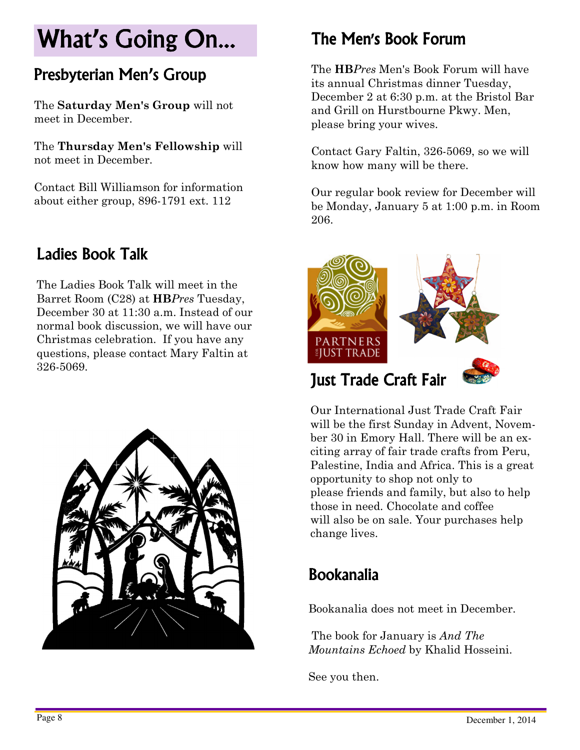# What's Going On...

### Presbyterian Men's Group

The **Saturday Men's Group** will not meet in December.

The **Thursday Men's Fellowship** will not meet in December.

Contact Bill Williamson for information about either group, 896-1791 ext. 112

### Ladies Book Talk

The Ladies Book Talk will meet in the Barret Room (C28) at **HB***Pres* Tuesday, December 30 at 11:30 a.m. Instead of our normal book discussion, we will have our Christmas celebration. If you have any questions, please contact Mary Faltin at 326-5069.



### The Men's Book Forum

The **HB***Pres* Men's Book Forum will have its annual Christmas dinner Tuesday, December 2 at 6:30 p.m. at the Bristol Bar and Grill on Hurstbourne Pkwy. Men, please bring your wives.

Contact Gary Faltin, 326-5069, so we will know how many will be there.

Our regular book review for December will be Monday, January 5 at 1:00 p.m. in Room 206.



Our International Just Trade Craft Fair will be the first Sunday in Advent, November 30 in Emory Hall. There will be an exciting array of fair trade crafts from Peru, Palestine, India and Africa. This is a great opportunity to shop not only to please friends and family, but also to help those in need. Chocolate and coffee will also be on sale. Your purchases help change lives.

### Bookanalia

Bookanalia does not meet in December.

 The book for January is *And The Mountains Echoed* by Khalid Hosseini.

See you then.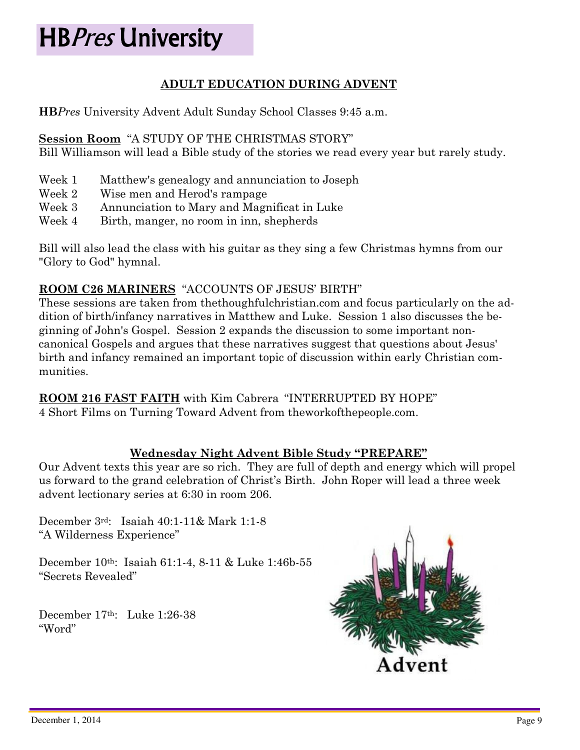# **HBPres University**

#### **ADULT EDUCATION DURING ADVENT**

**HB***Pres* University Advent Adult Sunday School Classes 9:45 a.m.

#### **Session Room** "A STUDY OF THE CHRISTMAS STORY"

Bill Williamson will lead a Bible study of the stories we read every year but rarely study.

- Week 1 Matthew's genealogy and annunciation to Joseph
- Week 2 Wise men and Herod's rampage
- Week 3 Annunciation to Mary and Magnificat in Luke
- Week 4 Birth, manger, no room in inn, shepherds

Bill will also lead the class with his guitar as they sing a few Christmas hymns from our "Glory to God" hymnal.

#### **ROOM C26 MARINERS** "ACCOUNTS OF JESUS' BIRTH"

These sessions are taken from thethoughfulchristian.com and focus particularly on the addition of birth/infancy narratives in Matthew and Luke. Session 1 also discusses the beginning of John's Gospel. Session 2 expands the discussion to some important noncanonical Gospels and argues that these narratives suggest that questions about Jesus' birth and infancy remained an important topic of discussion within early Christian communities.

**ROOM 216 FAST FAITH** with Kim Cabrera "INTERRUPTED BY HOPE" 4 Short Films on Turning Toward Advent from theworkofthepeople.com.

#### **Wednesday Night Advent Bible Study "PREPARE"**

Our Advent texts this year are so rich. They are full of depth and energy which will propel us forward to the grand celebration of Christ's Birth. John Roper will lead a three week advent lectionary series at 6:30 in room 206.

December 3rd: Isaiah 40:1-11& Mark 1:1-8 "A Wilderness Experience"

December 10th: Isaiah 61:1-4, 8-11 & Luke 1:46b-55 "Secrets Revealed"

December 17th: Luke 1:26-38 "Word"

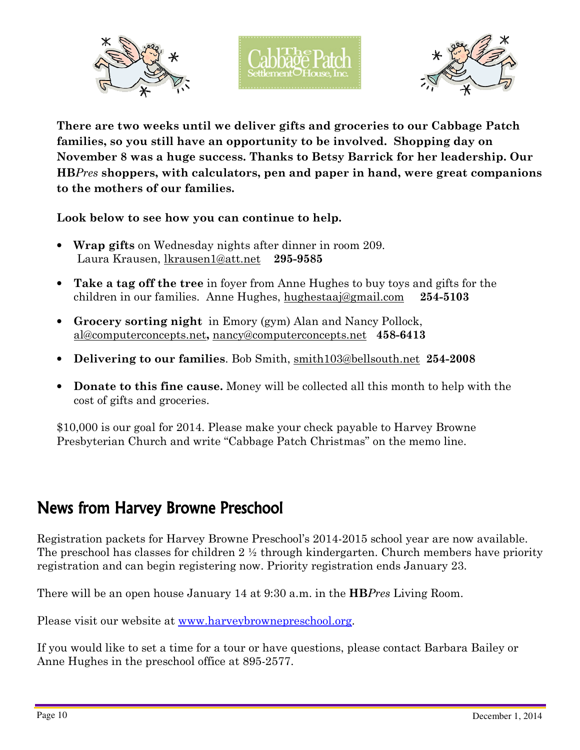





**There are two weeks until we deliver gifts and groceries to our Cabbage Patch families, so you still have an opportunity to be involved. Shopping day on November 8 was a huge success. Thanks to Betsy Barrick for her leadership. Our HB***Pres* **shoppers, with calculators, pen and paper in hand, were great companions to the mothers of our families.** 

**Look below to see how you can continue to help.** 

- **Wrap gifts** on Wednesday nights after dinner in room 209. Laura Krausen, lkrausen1@att.net **295-9585**
- **Take a tag off the tree** in foyer from Anne Hughes to buy toys and gifts for the children in our families. Anne Hughes, hughestaaj@gmail.com **254-5103**
- **Grocery sorting night** in Emory (gym) Alan and Nancy Pollock, al@computerconcepts.net**,** nancy@computerconcepts.net **458-6413**
- **Delivering to our families**. Bob Smith, smith103@bellsouth.net **254-2008**
- **Donate to this fine cause.** Money will be collected all this month to help with the cost of gifts and groceries.

\$10,000 is our goal for 2014. Please make your check payable to Harvey Browne Presbyterian Church and write "Cabbage Patch Christmas" on the memo line.

### News from Harvey Browne Preschool

Registration packets for Harvey Browne Preschool's 2014-2015 school year are now available. The preschool has classes for children  $2 \frac{1}{2}$  through kindergarten. Church members have priority registration and can begin registering now. Priority registration ends January 23.

There will be an open house January 14 at 9:30 a.m. in the **HB***Pres* Living Room.

Please visit our website at www.harveybrownepreschool.org.

If you would like to set a time for a tour or have questions, please contact Barbara Bailey or Anne Hughes in the preschool office at 895-2577.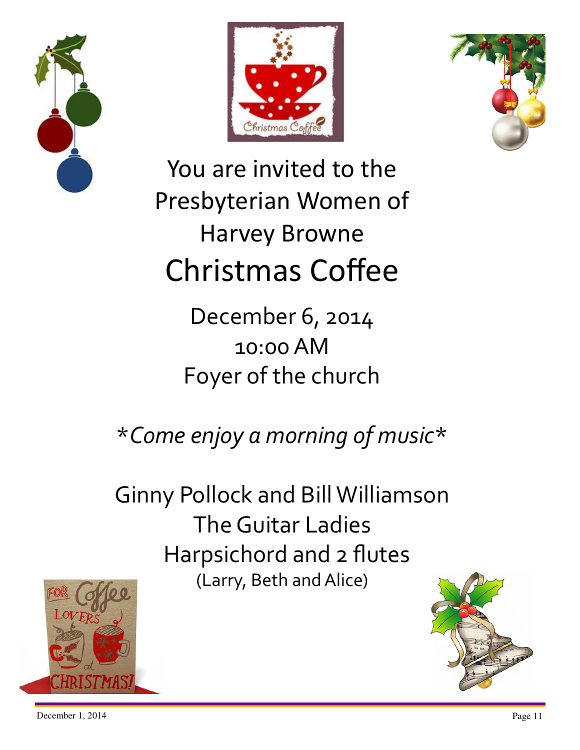





You are invited to the Presbyterian Women of Harvey Browne Christmas Coffee

> December 6, 2014 10:00 AM Foyer of the church

\**Come enjoy a morning of music*\*

Ginny Pollock and Bill Williamson The Guitar Ladies Harpsichord and 2 flutes (Larry, Beth and Alice)





December 1, 2014 Page 11